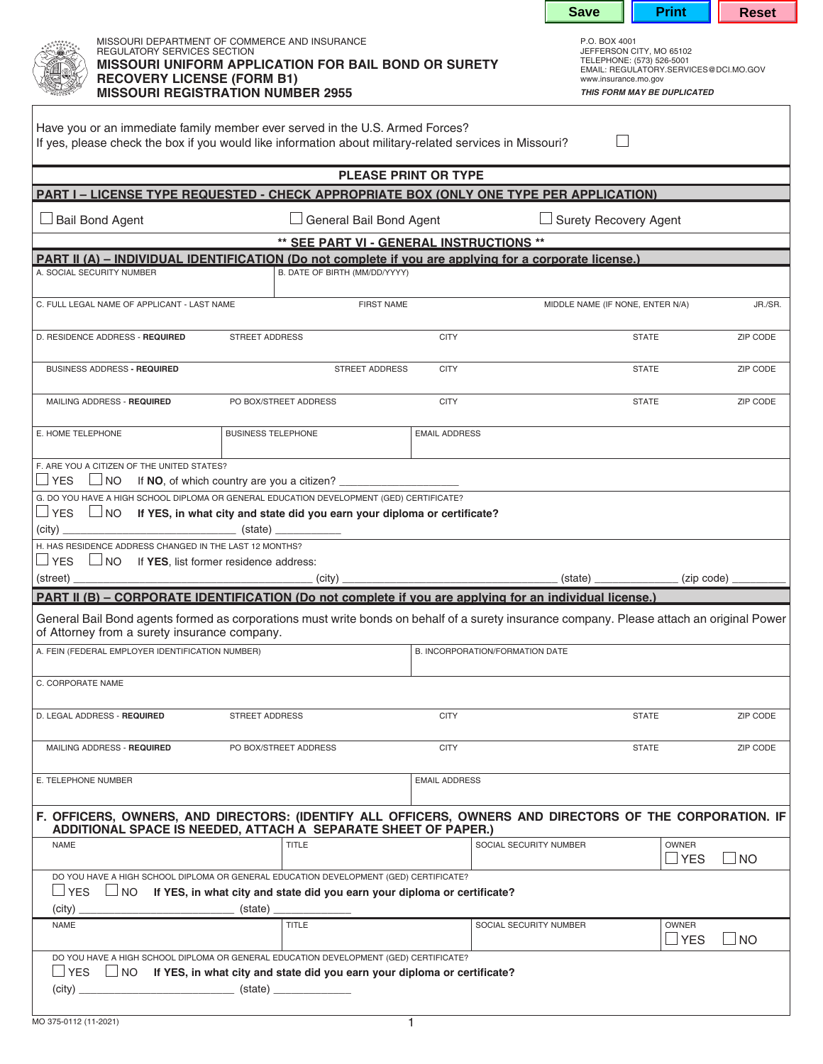| MISSOURI DEPARTMENT OF COMMERCE AND INSURANCE<br>P.O. BOX 4001<br>JEFFERSON CITY, MO 65102<br><b>REGULATORY SERVICES SECTION</b><br>TELEPHONE: (573) 526-5001<br><b>MISSOURI UNIFORM APPLICATION FOR BAIL BOND OR SURETY</b><br>EMAIL: REGULATORY.SERVICES@DCI.MO.GOV<br><b>RECOVERY LICENSE (FORM B1)</b><br>www.insurance.mo.gov<br><b>MISSOURI REGISTRATION NUMBER 2955</b><br>THIS FORM MAY BE DUPLICATED<br>Have you or an immediate family member ever served in the U.S. Armed Forces?<br>If yes, please check the box if you would like information about military-related services in Missouri?<br><b>PLEASE PRINT OR TYPE</b><br>PART I - LICENSE TYPE REQUESTED - CHECK APPROPRIATE BOX (ONLY ONE TYPE PER APPLICATION)<br>General Bail Bond Agent<br>$\Box$ Surety Recovery Agent<br>** SEE PART VI - GENERAL INSTRUCTIONS **<br>PART II (A) – INDIVIDUAL IDENTIFICATION (Do not complete if you are applying for a corporate license.)<br>B. DATE OF BIRTH (MM/DD/YYYY)<br>A. SOCIAL SECURITY NUMBER<br>C. FULL LEGAL NAME OF APPLICANT - LAST NAME<br><b>FIRST NAME</b><br>MIDDLE NAME (IF NONE, ENTER N/A)<br>JR./SR.<br>$\blacktriangledown$<br>STREET ADDRESS<br><b>CITY</b><br><b>STATE</b><br>ZIP CODE<br>BUSINESS ADDRESS - REQUIRED<br>STREET ADDRESS<br><b>CITY</b><br><b>STATE</b><br>ZIP CODE<br><b>CITY</b><br><b>STATE</b><br>MAILING ADDRESS - REQUIRED<br>PO BOX/STREET ADDRESS<br>ZIP CODE<br><b>BUSINESS TELEPHONE</b><br><b>EMAIL ADDRESS</b><br>F. ARE YOU A CITIZEN OF THE UNITED STATES?<br><b>YES</b><br>$\Box$ NO<br>G. DO YOU HAVE A HIGH SCHOOL DIPLOMA OR GENERAL EDUCATION DEVELOPMENT (GED) CERTIFICATE?<br>$\Box$ YES $\Box$ NO If YES, in what city and state did you earn your diploma or certificate?<br>$\left(\text{city}\right)$<br>$(\text{state})$<br>H. HAS RESIDENCE ADDRESS CHANGED IN THE LAST 12 MONTHS?<br>$\Box$ YES $\Box$ NO If YES, list former residence address:<br>(state) (zip code)<br>PART II (B) – CORPORATE IDENTIFICATION (Do not complete if you are applying for an individual license.)<br>General Bail Bond agents formed as corporations must write bonds on behalf of a surety insurance company. Please attach an original Power<br>of Attorney from a surety insurance company.<br>A. FEIN (FEDERAL EMPLOYER IDENTIFICATION NUMBER)<br>B. INCORPORATION/FORMATION DATE<br>STREET ADDRESS<br><b>CITY</b><br><b>STATE</b><br>ZIP CODE<br>MAILING ADDRESS - REQUIRED<br>PO BOX/STREET ADDRESS<br><b>CITY</b><br><b>STATE</b><br>ZIP CODE<br><b>EMAIL ADDRESS</b><br>F. OFFICERS, OWNERS, AND DIRECTORS: (IDENTIFY ALL OFFICERS, OWNERS AND DIRECTORS OF THE CORPORATION. IF<br>ADDITIONAL SPACE IS NEEDED, ATTACH A SEPARATE SHEET OF PAPER.)<br><b>TITLE</b><br>SOCIAL SECURITY NUMBER<br><b>OWNER</b><br><b>NAME</b><br>$\sqcup$ YES<br>$\Box$ NO<br>DO YOU HAVE A HIGH SCHOOL DIPLOMA OR GENERAL EDUCATION DEVELOPMENT (GED) CERTIFICATE?<br>$\Box$ YES $\Box$ NO If YES, in what city and state did you earn your diploma or certificate?<br>(city)<br>(state) _<br><b>TITLE</b><br>SOCIAL SECURITY NUMBER<br><b>NAME</b><br><b>OWNER</b><br>$\sqcup$ YES<br>$\Box$ NO<br>DO YOU HAVE A HIGH SCHOOL DIPLOMA OR GENERAL EDUCATION DEVELOPMENT (GED) CERTIFICATE?<br>$\Box$ YES $\Box$ NO If YES, in what city and state did you earn your diploma or certificate? |                                 |  |  |  |  | <b>Save</b> | <b>Print</b> | <b>Reset</b> |
|------------------------------------------------------------------------------------------------------------------------------------------------------------------------------------------------------------------------------------------------------------------------------------------------------------------------------------------------------------------------------------------------------------------------------------------------------------------------------------------------------------------------------------------------------------------------------------------------------------------------------------------------------------------------------------------------------------------------------------------------------------------------------------------------------------------------------------------------------------------------------------------------------------------------------------------------------------------------------------------------------------------------------------------------------------------------------------------------------------------------------------------------------------------------------------------------------------------------------------------------------------------------------------------------------------------------------------------------------------------------------------------------------------------------------------------------------------------------------------------------------------------------------------------------------------------------------------------------------------------------------------------------------------------------------------------------------------------------------------------------------------------------------------------------------------------------------------------------------------------------------------------------------------------------------------------------------------------------------------------------------------------------------------------------------------------------------------------------------------------------------------------------------------------------------------------------------------------------------------------------------------------------------------------------------------------------------------------------------------------------------------------------------------------------------------------------------------------------------------------------------------------------------------------------------------------------------------------------------------------------------------------------------------------------------------------------------------------------------------------------------------------------------------------------------------------------------------------------------------------------------------------------------------------------------------------------------------------------------------------------------------------------------------------------------------------------------------------------------------------------------------------------------------------------------------------------------------------------------------------------------------------------------------------------------------------------------------------------|---------------------------------|--|--|--|--|-------------|--------------|--------------|
|                                                                                                                                                                                                                                                                                                                                                                                                                                                                                                                                                                                                                                                                                                                                                                                                                                                                                                                                                                                                                                                                                                                                                                                                                                                                                                                                                                                                                                                                                                                                                                                                                                                                                                                                                                                                                                                                                                                                                                                                                                                                                                                                                                                                                                                                                                                                                                                                                                                                                                                                                                                                                                                                                                                                                                                                                                                                                                                                                                                                                                                                                                                                                                                                                                                                                                                                                |                                 |  |  |  |  |             |              |              |
|                                                                                                                                                                                                                                                                                                                                                                                                                                                                                                                                                                                                                                                                                                                                                                                                                                                                                                                                                                                                                                                                                                                                                                                                                                                                                                                                                                                                                                                                                                                                                                                                                                                                                                                                                                                                                                                                                                                                                                                                                                                                                                                                                                                                                                                                                                                                                                                                                                                                                                                                                                                                                                                                                                                                                                                                                                                                                                                                                                                                                                                                                                                                                                                                                                                                                                                                                |                                 |  |  |  |  |             |              |              |
|                                                                                                                                                                                                                                                                                                                                                                                                                                                                                                                                                                                                                                                                                                                                                                                                                                                                                                                                                                                                                                                                                                                                                                                                                                                                                                                                                                                                                                                                                                                                                                                                                                                                                                                                                                                                                                                                                                                                                                                                                                                                                                                                                                                                                                                                                                                                                                                                                                                                                                                                                                                                                                                                                                                                                                                                                                                                                                                                                                                                                                                                                                                                                                                                                                                                                                                                                |                                 |  |  |  |  |             |              |              |
|                                                                                                                                                                                                                                                                                                                                                                                                                                                                                                                                                                                                                                                                                                                                                                                                                                                                                                                                                                                                                                                                                                                                                                                                                                                                                                                                                                                                                                                                                                                                                                                                                                                                                                                                                                                                                                                                                                                                                                                                                                                                                                                                                                                                                                                                                                                                                                                                                                                                                                                                                                                                                                                                                                                                                                                                                                                                                                                                                                                                                                                                                                                                                                                                                                                                                                                                                |                                 |  |  |  |  |             |              |              |
|                                                                                                                                                                                                                                                                                                                                                                                                                                                                                                                                                                                                                                                                                                                                                                                                                                                                                                                                                                                                                                                                                                                                                                                                                                                                                                                                                                                                                                                                                                                                                                                                                                                                                                                                                                                                                                                                                                                                                                                                                                                                                                                                                                                                                                                                                                                                                                                                                                                                                                                                                                                                                                                                                                                                                                                                                                                                                                                                                                                                                                                                                                                                                                                                                                                                                                                                                | $\Box$ Bail Bond Agent          |  |  |  |  |             |              |              |
|                                                                                                                                                                                                                                                                                                                                                                                                                                                                                                                                                                                                                                                                                                                                                                                                                                                                                                                                                                                                                                                                                                                                                                                                                                                                                                                                                                                                                                                                                                                                                                                                                                                                                                                                                                                                                                                                                                                                                                                                                                                                                                                                                                                                                                                                                                                                                                                                                                                                                                                                                                                                                                                                                                                                                                                                                                                                                                                                                                                                                                                                                                                                                                                                                                                                                                                                                |                                 |  |  |  |  |             |              |              |
|                                                                                                                                                                                                                                                                                                                                                                                                                                                                                                                                                                                                                                                                                                                                                                                                                                                                                                                                                                                                                                                                                                                                                                                                                                                                                                                                                                                                                                                                                                                                                                                                                                                                                                                                                                                                                                                                                                                                                                                                                                                                                                                                                                                                                                                                                                                                                                                                                                                                                                                                                                                                                                                                                                                                                                                                                                                                                                                                                                                                                                                                                                                                                                                                                                                                                                                                                |                                 |  |  |  |  |             |              |              |
|                                                                                                                                                                                                                                                                                                                                                                                                                                                                                                                                                                                                                                                                                                                                                                                                                                                                                                                                                                                                                                                                                                                                                                                                                                                                                                                                                                                                                                                                                                                                                                                                                                                                                                                                                                                                                                                                                                                                                                                                                                                                                                                                                                                                                                                                                                                                                                                                                                                                                                                                                                                                                                                                                                                                                                                                                                                                                                                                                                                                                                                                                                                                                                                                                                                                                                                                                |                                 |  |  |  |  |             |              |              |
|                                                                                                                                                                                                                                                                                                                                                                                                                                                                                                                                                                                                                                                                                                                                                                                                                                                                                                                                                                                                                                                                                                                                                                                                                                                                                                                                                                                                                                                                                                                                                                                                                                                                                                                                                                                                                                                                                                                                                                                                                                                                                                                                                                                                                                                                                                                                                                                                                                                                                                                                                                                                                                                                                                                                                                                                                                                                                                                                                                                                                                                                                                                                                                                                                                                                                                                                                |                                 |  |  |  |  |             |              |              |
|                                                                                                                                                                                                                                                                                                                                                                                                                                                                                                                                                                                                                                                                                                                                                                                                                                                                                                                                                                                                                                                                                                                                                                                                                                                                                                                                                                                                                                                                                                                                                                                                                                                                                                                                                                                                                                                                                                                                                                                                                                                                                                                                                                                                                                                                                                                                                                                                                                                                                                                                                                                                                                                                                                                                                                                                                                                                                                                                                                                                                                                                                                                                                                                                                                                                                                                                                | D. RESIDENCE ADDRESS - REQUIRED |  |  |  |  |             |              |              |
|                                                                                                                                                                                                                                                                                                                                                                                                                                                                                                                                                                                                                                                                                                                                                                                                                                                                                                                                                                                                                                                                                                                                                                                                                                                                                                                                                                                                                                                                                                                                                                                                                                                                                                                                                                                                                                                                                                                                                                                                                                                                                                                                                                                                                                                                                                                                                                                                                                                                                                                                                                                                                                                                                                                                                                                                                                                                                                                                                                                                                                                                                                                                                                                                                                                                                                                                                |                                 |  |  |  |  |             |              |              |
|                                                                                                                                                                                                                                                                                                                                                                                                                                                                                                                                                                                                                                                                                                                                                                                                                                                                                                                                                                                                                                                                                                                                                                                                                                                                                                                                                                                                                                                                                                                                                                                                                                                                                                                                                                                                                                                                                                                                                                                                                                                                                                                                                                                                                                                                                                                                                                                                                                                                                                                                                                                                                                                                                                                                                                                                                                                                                                                                                                                                                                                                                                                                                                                                                                                                                                                                                |                                 |  |  |  |  |             |              |              |
|                                                                                                                                                                                                                                                                                                                                                                                                                                                                                                                                                                                                                                                                                                                                                                                                                                                                                                                                                                                                                                                                                                                                                                                                                                                                                                                                                                                                                                                                                                                                                                                                                                                                                                                                                                                                                                                                                                                                                                                                                                                                                                                                                                                                                                                                                                                                                                                                                                                                                                                                                                                                                                                                                                                                                                                                                                                                                                                                                                                                                                                                                                                                                                                                                                                                                                                                                | E. HOME TELEPHONE               |  |  |  |  |             |              |              |
|                                                                                                                                                                                                                                                                                                                                                                                                                                                                                                                                                                                                                                                                                                                                                                                                                                                                                                                                                                                                                                                                                                                                                                                                                                                                                                                                                                                                                                                                                                                                                                                                                                                                                                                                                                                                                                                                                                                                                                                                                                                                                                                                                                                                                                                                                                                                                                                                                                                                                                                                                                                                                                                                                                                                                                                                                                                                                                                                                                                                                                                                                                                                                                                                                                                                                                                                                |                                 |  |  |  |  |             |              |              |
|                                                                                                                                                                                                                                                                                                                                                                                                                                                                                                                                                                                                                                                                                                                                                                                                                                                                                                                                                                                                                                                                                                                                                                                                                                                                                                                                                                                                                                                                                                                                                                                                                                                                                                                                                                                                                                                                                                                                                                                                                                                                                                                                                                                                                                                                                                                                                                                                                                                                                                                                                                                                                                                                                                                                                                                                                                                                                                                                                                                                                                                                                                                                                                                                                                                                                                                                                |                                 |  |  |  |  |             |              |              |
|                                                                                                                                                                                                                                                                                                                                                                                                                                                                                                                                                                                                                                                                                                                                                                                                                                                                                                                                                                                                                                                                                                                                                                                                                                                                                                                                                                                                                                                                                                                                                                                                                                                                                                                                                                                                                                                                                                                                                                                                                                                                                                                                                                                                                                                                                                                                                                                                                                                                                                                                                                                                                                                                                                                                                                                                                                                                                                                                                                                                                                                                                                                                                                                                                                                                                                                                                |                                 |  |  |  |  |             |              |              |
|                                                                                                                                                                                                                                                                                                                                                                                                                                                                                                                                                                                                                                                                                                                                                                                                                                                                                                                                                                                                                                                                                                                                                                                                                                                                                                                                                                                                                                                                                                                                                                                                                                                                                                                                                                                                                                                                                                                                                                                                                                                                                                                                                                                                                                                                                                                                                                                                                                                                                                                                                                                                                                                                                                                                                                                                                                                                                                                                                                                                                                                                                                                                                                                                                                                                                                                                                |                                 |  |  |  |  |             |              |              |
|                                                                                                                                                                                                                                                                                                                                                                                                                                                                                                                                                                                                                                                                                                                                                                                                                                                                                                                                                                                                                                                                                                                                                                                                                                                                                                                                                                                                                                                                                                                                                                                                                                                                                                                                                                                                                                                                                                                                                                                                                                                                                                                                                                                                                                                                                                                                                                                                                                                                                                                                                                                                                                                                                                                                                                                                                                                                                                                                                                                                                                                                                                                                                                                                                                                                                                                                                |                                 |  |  |  |  |             |              |              |
|                                                                                                                                                                                                                                                                                                                                                                                                                                                                                                                                                                                                                                                                                                                                                                                                                                                                                                                                                                                                                                                                                                                                                                                                                                                                                                                                                                                                                                                                                                                                                                                                                                                                                                                                                                                                                                                                                                                                                                                                                                                                                                                                                                                                                                                                                                                                                                                                                                                                                                                                                                                                                                                                                                                                                                                                                                                                                                                                                                                                                                                                                                                                                                                                                                                                                                                                                |                                 |  |  |  |  |             |              |              |
|                                                                                                                                                                                                                                                                                                                                                                                                                                                                                                                                                                                                                                                                                                                                                                                                                                                                                                                                                                                                                                                                                                                                                                                                                                                                                                                                                                                                                                                                                                                                                                                                                                                                                                                                                                                                                                                                                                                                                                                                                                                                                                                                                                                                                                                                                                                                                                                                                                                                                                                                                                                                                                                                                                                                                                                                                                                                                                                                                                                                                                                                                                                                                                                                                                                                                                                                                | $(\text{street})$               |  |  |  |  |             |              |              |
|                                                                                                                                                                                                                                                                                                                                                                                                                                                                                                                                                                                                                                                                                                                                                                                                                                                                                                                                                                                                                                                                                                                                                                                                                                                                                                                                                                                                                                                                                                                                                                                                                                                                                                                                                                                                                                                                                                                                                                                                                                                                                                                                                                                                                                                                                                                                                                                                                                                                                                                                                                                                                                                                                                                                                                                                                                                                                                                                                                                                                                                                                                                                                                                                                                                                                                                                                |                                 |  |  |  |  |             |              |              |
|                                                                                                                                                                                                                                                                                                                                                                                                                                                                                                                                                                                                                                                                                                                                                                                                                                                                                                                                                                                                                                                                                                                                                                                                                                                                                                                                                                                                                                                                                                                                                                                                                                                                                                                                                                                                                                                                                                                                                                                                                                                                                                                                                                                                                                                                                                                                                                                                                                                                                                                                                                                                                                                                                                                                                                                                                                                                                                                                                                                                                                                                                                                                                                                                                                                                                                                                                |                                 |  |  |  |  |             |              |              |
|                                                                                                                                                                                                                                                                                                                                                                                                                                                                                                                                                                                                                                                                                                                                                                                                                                                                                                                                                                                                                                                                                                                                                                                                                                                                                                                                                                                                                                                                                                                                                                                                                                                                                                                                                                                                                                                                                                                                                                                                                                                                                                                                                                                                                                                                                                                                                                                                                                                                                                                                                                                                                                                                                                                                                                                                                                                                                                                                                                                                                                                                                                                                                                                                                                                                                                                                                |                                 |  |  |  |  |             |              |              |
|                                                                                                                                                                                                                                                                                                                                                                                                                                                                                                                                                                                                                                                                                                                                                                                                                                                                                                                                                                                                                                                                                                                                                                                                                                                                                                                                                                                                                                                                                                                                                                                                                                                                                                                                                                                                                                                                                                                                                                                                                                                                                                                                                                                                                                                                                                                                                                                                                                                                                                                                                                                                                                                                                                                                                                                                                                                                                                                                                                                                                                                                                                                                                                                                                                                                                                                                                | C. CORPORATE NAME               |  |  |  |  |             |              |              |
|                                                                                                                                                                                                                                                                                                                                                                                                                                                                                                                                                                                                                                                                                                                                                                                                                                                                                                                                                                                                                                                                                                                                                                                                                                                                                                                                                                                                                                                                                                                                                                                                                                                                                                                                                                                                                                                                                                                                                                                                                                                                                                                                                                                                                                                                                                                                                                                                                                                                                                                                                                                                                                                                                                                                                                                                                                                                                                                                                                                                                                                                                                                                                                                                                                                                                                                                                | D. LEGAL ADDRESS - REQUIRED     |  |  |  |  |             |              |              |
|                                                                                                                                                                                                                                                                                                                                                                                                                                                                                                                                                                                                                                                                                                                                                                                                                                                                                                                                                                                                                                                                                                                                                                                                                                                                                                                                                                                                                                                                                                                                                                                                                                                                                                                                                                                                                                                                                                                                                                                                                                                                                                                                                                                                                                                                                                                                                                                                                                                                                                                                                                                                                                                                                                                                                                                                                                                                                                                                                                                                                                                                                                                                                                                                                                                                                                                                                |                                 |  |  |  |  |             |              |              |
|                                                                                                                                                                                                                                                                                                                                                                                                                                                                                                                                                                                                                                                                                                                                                                                                                                                                                                                                                                                                                                                                                                                                                                                                                                                                                                                                                                                                                                                                                                                                                                                                                                                                                                                                                                                                                                                                                                                                                                                                                                                                                                                                                                                                                                                                                                                                                                                                                                                                                                                                                                                                                                                                                                                                                                                                                                                                                                                                                                                                                                                                                                                                                                                                                                                                                                                                                |                                 |  |  |  |  |             |              |              |
|                                                                                                                                                                                                                                                                                                                                                                                                                                                                                                                                                                                                                                                                                                                                                                                                                                                                                                                                                                                                                                                                                                                                                                                                                                                                                                                                                                                                                                                                                                                                                                                                                                                                                                                                                                                                                                                                                                                                                                                                                                                                                                                                                                                                                                                                                                                                                                                                                                                                                                                                                                                                                                                                                                                                                                                                                                                                                                                                                                                                                                                                                                                                                                                                                                                                                                                                                | E. TELEPHONE NUMBER             |  |  |  |  |             |              |              |
|                                                                                                                                                                                                                                                                                                                                                                                                                                                                                                                                                                                                                                                                                                                                                                                                                                                                                                                                                                                                                                                                                                                                                                                                                                                                                                                                                                                                                                                                                                                                                                                                                                                                                                                                                                                                                                                                                                                                                                                                                                                                                                                                                                                                                                                                                                                                                                                                                                                                                                                                                                                                                                                                                                                                                                                                                                                                                                                                                                                                                                                                                                                                                                                                                                                                                                                                                |                                 |  |  |  |  |             |              |              |
|                                                                                                                                                                                                                                                                                                                                                                                                                                                                                                                                                                                                                                                                                                                                                                                                                                                                                                                                                                                                                                                                                                                                                                                                                                                                                                                                                                                                                                                                                                                                                                                                                                                                                                                                                                                                                                                                                                                                                                                                                                                                                                                                                                                                                                                                                                                                                                                                                                                                                                                                                                                                                                                                                                                                                                                                                                                                                                                                                                                                                                                                                                                                                                                                                                                                                                                                                |                                 |  |  |  |  |             |              |              |
|                                                                                                                                                                                                                                                                                                                                                                                                                                                                                                                                                                                                                                                                                                                                                                                                                                                                                                                                                                                                                                                                                                                                                                                                                                                                                                                                                                                                                                                                                                                                                                                                                                                                                                                                                                                                                                                                                                                                                                                                                                                                                                                                                                                                                                                                                                                                                                                                                                                                                                                                                                                                                                                                                                                                                                                                                                                                                                                                                                                                                                                                                                                                                                                                                                                                                                                                                |                                 |  |  |  |  |             |              |              |
|                                                                                                                                                                                                                                                                                                                                                                                                                                                                                                                                                                                                                                                                                                                                                                                                                                                                                                                                                                                                                                                                                                                                                                                                                                                                                                                                                                                                                                                                                                                                                                                                                                                                                                                                                                                                                                                                                                                                                                                                                                                                                                                                                                                                                                                                                                                                                                                                                                                                                                                                                                                                                                                                                                                                                                                                                                                                                                                                                                                                                                                                                                                                                                                                                                                                                                                                                |                                 |  |  |  |  |             |              |              |
|                                                                                                                                                                                                                                                                                                                                                                                                                                                                                                                                                                                                                                                                                                                                                                                                                                                                                                                                                                                                                                                                                                                                                                                                                                                                                                                                                                                                                                                                                                                                                                                                                                                                                                                                                                                                                                                                                                                                                                                                                                                                                                                                                                                                                                                                                                                                                                                                                                                                                                                                                                                                                                                                                                                                                                                                                                                                                                                                                                                                                                                                                                                                                                                                                                                                                                                                                |                                 |  |  |  |  |             |              |              |
|                                                                                                                                                                                                                                                                                                                                                                                                                                                                                                                                                                                                                                                                                                                                                                                                                                                                                                                                                                                                                                                                                                                                                                                                                                                                                                                                                                                                                                                                                                                                                                                                                                                                                                                                                                                                                                                                                                                                                                                                                                                                                                                                                                                                                                                                                                                                                                                                                                                                                                                                                                                                                                                                                                                                                                                                                                                                                                                                                                                                                                                                                                                                                                                                                                                                                                                                                |                                 |  |  |  |  |             |              |              |
| $\mathbf{1}$                                                                                                                                                                                                                                                                                                                                                                                                                                                                                                                                                                                                                                                                                                                                                                                                                                                                                                                                                                                                                                                                                                                                                                                                                                                                                                                                                                                                                                                                                                                                                                                                                                                                                                                                                                                                                                                                                                                                                                                                                                                                                                                                                                                                                                                                                                                                                                                                                                                                                                                                                                                                                                                                                                                                                                                                                                                                                                                                                                                                                                                                                                                                                                                                                                                                                                                                   | MO 375-0112 (11-2021)           |  |  |  |  |             |              |              |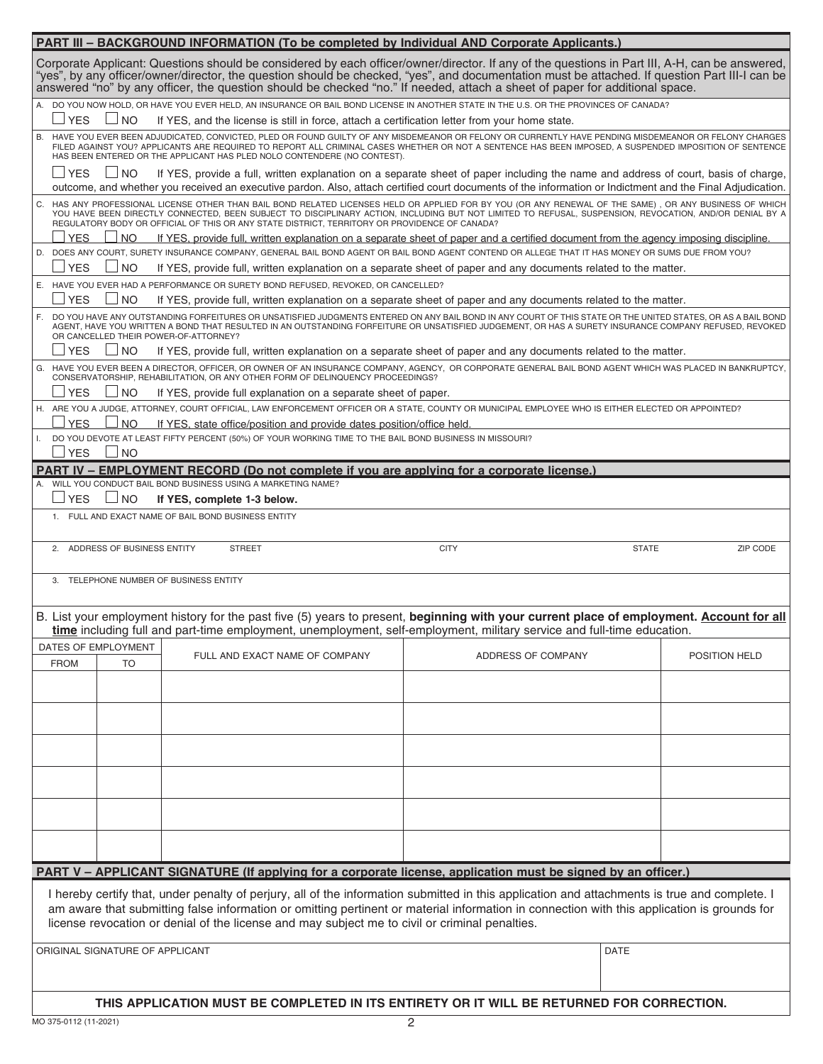| <b>PART III - BACKGROUND INFORMATION (To be completed by Individual AND Corporate Applicants.)</b>                                                                                                                                                                                                                                                                                                                              |                                                                                                                 |                    |             |               |  |  |  |  |
|---------------------------------------------------------------------------------------------------------------------------------------------------------------------------------------------------------------------------------------------------------------------------------------------------------------------------------------------------------------------------------------------------------------------------------|-----------------------------------------------------------------------------------------------------------------|--------------------|-------------|---------------|--|--|--|--|
| Corporate Applicant: Questions should be considered by each officer/owner/director. If any of the questions in Part III, A-H, can be answered,<br>"yes", by any officer/owner/director, the question should be checked, "yes", and documentation must be attached. If question Part III-I can be<br>answered "no" by any officer, the question should be checked "no." If needed, attach a sheet of paper for additional space. |                                                                                                                 |                    |             |               |  |  |  |  |
| DO YOU NOW HOLD, OR HAVE YOU EVER HELD, AN INSURANCE OR BAIL BOND LICENSE IN ANOTHER STATE IN THE U.S. OR THE PROVINCES OF CANADA?<br><b>YES</b><br>N <sub>O</sub><br>If YES, and the license is still in force, attach a certification letter from your home state.                                                                                                                                                            |                                                                                                                 |                    |             |               |  |  |  |  |
| HAVE YOU EVER BEEN ADJUDICATED, CONVICTED, PLED OR FOUND GUILTY OF ANY MISDEMEANOR OR FELONY OR CURRENTLY HAVE PENDING MISDEMEANOR OR FELONY CHARGES<br><b>B.</b><br>FILED AGAINST YOU? APPLICANTS ARE REQUIRED TO REPORT ALL CRIMINAL CASES WHETHER OR NOT A SENTENCE HAS BEEN IMPOSED, A SUSPENDED IMPOSITION OF SENTENCE<br>HAS BEEN ENTERED OR THE APPLICANT HAS PLED NOLO CONTENDERE (NO CONTEST).                         |                                                                                                                 |                    |             |               |  |  |  |  |
| $\sqcup$ YES<br>$\Box$ NO<br>If YES, provide a full, written explanation on a separate sheet of paper including the name and address of court, basis of charge,<br>outcome, and whether you received an executive pardon. Also, attach certified court documents of the information or Indictment and the Final Adjudication.                                                                                                   |                                                                                                                 |                    |             |               |  |  |  |  |
| C. HAS ANY PROFESSIONAL LICENSE OTHER THAN BAIL BOND RELATED LICENSES HELD OR APPLIED FOR BY YOU (OR ANY RENEWAL OF THE SAME), OR ANY BUSINESS OF WHICH<br>YOU HAVE BEEN DIRECTLY CONNECTED, BEEN SUBJECT TO DISCIPLINARY ACTION, INCLUDING BUT NOT LIMITED TO REFUSAL, SUSPENSION, REVOCATION, AND/OR DENIAL BY A<br>REGULATORY BODY OR OFFICIAL OF THIS OR ANY STATE DISTRICT, TERRITORY OR PROVIDENCE OF CANADA?             |                                                                                                                 |                    |             |               |  |  |  |  |
| <b>YES</b><br><b>NO</b><br>If YES, provide full, written explanation on a separate sheet of paper and a certified document from the agency imposing discipline.<br>D. DOES ANY COURT, SURETY INSURANCE COMPANY, GENERAL BAIL BOND AGENT OR BAIL BOND AGENT CONTEND OR ALLEGE THAT IT HAS MONEY OR SUMS DUE FROM YOU?                                                                                                            |                                                                                                                 |                    |             |               |  |  |  |  |
| $\sqcup$ YES<br>$\Box$ No                                                                                                                                                                                                                                                                                                                                                                                                       | If YES, provide full, written explanation on a separate sheet of paper and any documents related to the matter. |                    |             |               |  |  |  |  |
|                                                                                                                                                                                                                                                                                                                                                                                                                                 | E. HAVE YOU EVER HAD A PERFORMANCE OR SURETY BOND REFUSED, REVOKED, OR CANCELLED?                               |                    |             |               |  |  |  |  |
| <b>YES</b><br>$\blacksquare$<br>$\Box$ No                                                                                                                                                                                                                                                                                                                                                                                       | If YES, provide full, written explanation on a separate sheet of paper and any documents related to the matter. |                    |             |               |  |  |  |  |
| F. DO YOU HAVE ANY OUTSTANDING FORFEITURES OR UNSATISFIED JUDGMENTS ENTERED ON ANY BAIL BOND IN ANY COURT OF THIS STATE OR THE UNITED STATES, OR AS A BAIL BOND<br>AGENT, HAVE YOU WRITTEN A BOND THAT RESULTED IN AN OUTSTANDING FORFEITURE OR UNSATISFIED JUDGEMENT, OR HAS A SURETY INSURANCE COMPANY REFUSED, REVOKED<br>OR CANCELLED THEIR POWER-OF-ATTORNEY?                                                              |                                                                                                                 |                    |             |               |  |  |  |  |
| <b>YES</b><br>⊿ NO                                                                                                                                                                                                                                                                                                                                                                                                              | If YES, provide full, written explanation on a separate sheet of paper and any documents related to the matter. |                    |             |               |  |  |  |  |
| G. HAVE YOU EVER BEEN A DIRECTOR, OFFICER, OR OWNER OF AN INSURANCE COMPANY, AGENCY, OR CORPORATE GENERAL BAIL BOND AGENT WHICH WAS PLACED IN BANKRUPTCY.<br>CONSERVATORSHIP, REHABILITATION, OR ANY OTHER FORM OF DELINQUENCY PROCEEDINGS?<br><b>YES</b><br>$\Box$ NO<br>If YES, provide full explanation on a separate sheet of paper.                                                                                        |                                                                                                                 |                    |             |               |  |  |  |  |
| H. ARE YOU A JUDGE, ATTORNEY, COURT OFFICIAL, LAW ENFORCEMENT OFFICER OR A STATE, COUNTY OR MUNICIPAL EMPLOYEE WHO IS EITHER ELECTED OR APPOINTED?                                                                                                                                                                                                                                                                              |                                                                                                                 |                    |             |               |  |  |  |  |
| <b>YES</b><br><b>NO</b><br>If YES, state office/position and provide dates position/office held.<br>DO YOU DEVOTE AT LEAST FIFTY PERCENT (50%) OF YOUR WORKING TIME TO THE BAIL BOND BUSINESS IN MISSOURI?                                                                                                                                                                                                                      |                                                                                                                 |                    |             |               |  |  |  |  |
| <b>YES</b><br>$\Box$ No<br>PART IV - EMPLOYMENT RECORD (Do not complete if you are applying for a corporate license.)                                                                                                                                                                                                                                                                                                           |                                                                                                                 |                    |             |               |  |  |  |  |
|                                                                                                                                                                                                                                                                                                                                                                                                                                 | A. WILL YOU CONDUCT BAIL BOND BUSINESS USING A MARKETING NAME?                                                  |                    |             |               |  |  |  |  |
| <b>YES</b><br><b>NO</b><br>If YES, complete 1-3 below.                                                                                                                                                                                                                                                                                                                                                                          |                                                                                                                 |                    |             |               |  |  |  |  |
| 1. FULL AND EXACT NAME OF BAIL BOND BUSINESS ENTITY                                                                                                                                                                                                                                                                                                                                                                             |                                                                                                                 |                    |             |               |  |  |  |  |
| ADDRESS OF BUSINESS ENTITY                                                                                                                                                                                                                                                                                                                                                                                                      | <b>STREET</b>                                                                                                   | <b>CITY</b>        | ZIP CODE    |               |  |  |  |  |
| TELEPHONE NUMBER OF BUSINESS ENTITY<br>3.                                                                                                                                                                                                                                                                                                                                                                                       |                                                                                                                 |                    |             |               |  |  |  |  |
| B. List your employment history for the past five (5) years to present, beginning with your current place of employment. Account for all<br>time including full and part-time employment, unemployment, self-employment, military service and full-time education.                                                                                                                                                              |                                                                                                                 |                    |             |               |  |  |  |  |
| DATES OF EMPLOYMENT<br><b>FROM</b><br>TO                                                                                                                                                                                                                                                                                                                                                                                        | FULL AND EXACT NAME OF COMPANY                                                                                  | ADDRESS OF COMPANY |             | POSITION HELD |  |  |  |  |
|                                                                                                                                                                                                                                                                                                                                                                                                                                 |                                                                                                                 |                    |             |               |  |  |  |  |
|                                                                                                                                                                                                                                                                                                                                                                                                                                 |                                                                                                                 |                    |             |               |  |  |  |  |
|                                                                                                                                                                                                                                                                                                                                                                                                                                 |                                                                                                                 |                    |             |               |  |  |  |  |
|                                                                                                                                                                                                                                                                                                                                                                                                                                 |                                                                                                                 |                    |             |               |  |  |  |  |
|                                                                                                                                                                                                                                                                                                                                                                                                                                 |                                                                                                                 |                    |             |               |  |  |  |  |
|                                                                                                                                                                                                                                                                                                                                                                                                                                 |                                                                                                                 |                    |             |               |  |  |  |  |
|                                                                                                                                                                                                                                                                                                                                                                                                                                 |                                                                                                                 |                    |             |               |  |  |  |  |
| PART V – APPLICANT SIGNATURE (If applying for a corporate license, application must be signed by an officer.)<br>I hereby certify that, under penalty of perjury, all of the information submitted in this application and attachments is true and complete. I                                                                                                                                                                  |                                                                                                                 |                    |             |               |  |  |  |  |
| am aware that submitting false information or omitting pertinent or material information in connection with this application is grounds for<br>license revocation or denial of the license and may subject me to civil or criminal penalties.                                                                                                                                                                                   |                                                                                                                 |                    |             |               |  |  |  |  |
| ORIGINAL SIGNATURE OF APPLICANT                                                                                                                                                                                                                                                                                                                                                                                                 |                                                                                                                 |                    | <b>DATE</b> |               |  |  |  |  |
|                                                                                                                                                                                                                                                                                                                                                                                                                                 |                                                                                                                 |                    |             |               |  |  |  |  |
|                                                                                                                                                                                                                                                                                                                                                                                                                                 | THIS APPLICATION MUST BE COMPLETED IN ITS ENTIRETY OR IT WILL BE RETURNED FOR CORRECTION.                       |                    |             |               |  |  |  |  |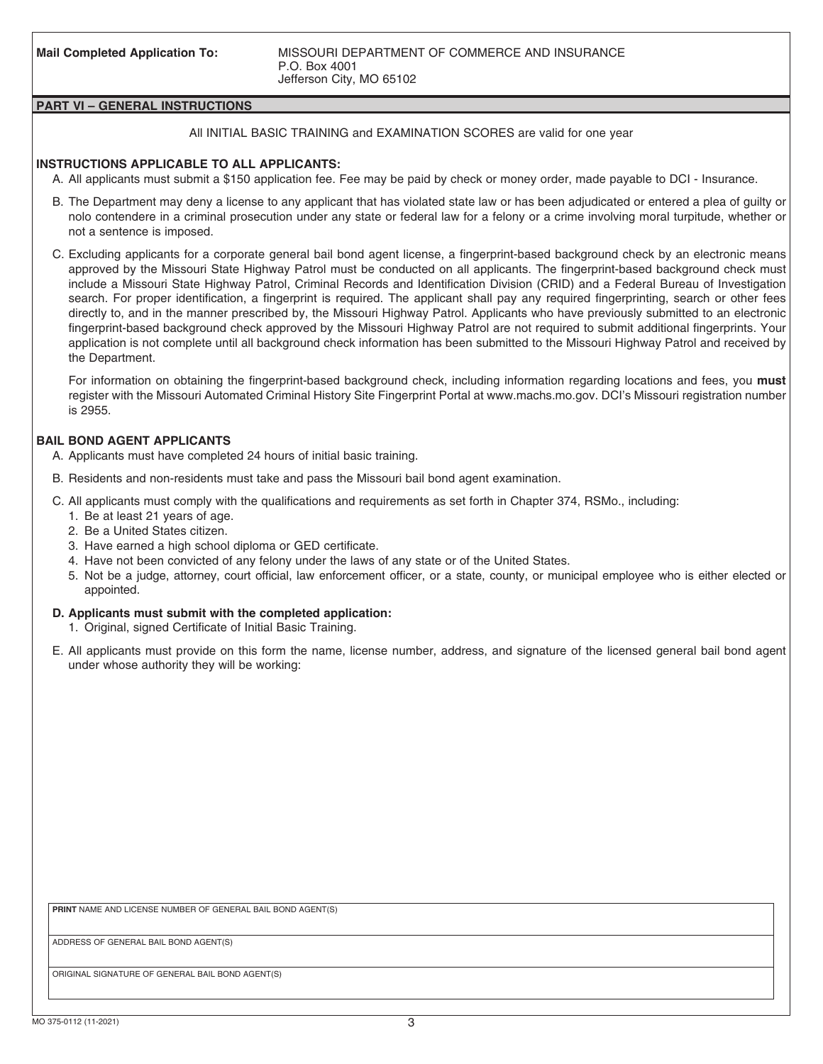### **PART VI – GENERAL INSTRUCTIONS**

#### All INITIAL BASIC TRAINING and EXAMINATION SCORES are valid for one year

### **INSTRUCTIONS APPLICABLE TO ALL APPLICANTS:**

- A. All applicants must submit a \$150 application fee. Fee may be paid by check or money order, made payable to DCI Insurance.
- B. The Department may deny a license to any applicant that has violated state law or has been adjudicated or entered a plea of guilty or nolo contendere in a criminal prosecution under any state or federal law for a felony or a crime involving moral turpitude, whether or not a sentence is imposed.
- C. Excluding applicants for a corporate general bail bond agent license, a fingerprint-based background check by an electronic means approved by the Missouri State Highway Patrol must be conducted on all applicants. The fingerprint-based background check must include a Missouri State Highway Patrol, Criminal Records and Identification Division (CRID) and a Federal Bureau of Investigation search. For proper identification, a fingerprint is required. The applicant shall pay any required fingerprinting, search or other fees directly to, and in the manner prescribed by, the Missouri Highway Patrol. Applicants who have previously submitted to an electronic fingerprint-based background check approved by the Missouri Highway Patrol are not required to submit additional fingerprints. Your application is not complete until all background check information has been submitted to the Missouri Highway Patrol and received by the Department.

 For information on obtaining the fingerprint-based background check, including information regarding locations and fees, you **must** register with the Missouri Automated Criminal History Site Fingerprint Portal at www.machs.mo.gov. DCI's Missouri registration number is 2955.

## **BAIL BOND AGENT APPLICANTS**

- A. Applicants must have completed 24 hours of initial basic training.
- B. Residents and non-residents must take and pass the Missouri bail bond agent examination.
- C. All applicants must comply with the qualifications and requirements as set forth in Chapter 374, RSMo., including:
	- 1. Be at least 21 years of age.
	- 2. Be a United States citizen.
	- 3. Have earned a high school diploma or GED certificate.
	- 4. Have not been convicted of any felony under the laws of any state or of the United States.
	- 5. Not be a judge, attorney, court official, law enforcement officer, or a state, county, or municipal employee who is either elected or appointed.

#### **D. Applicants must submit with the completed application:**

- 1. Original, signed Certificate of Initial Basic Training.
- E. All applicants must provide on this form the name, license number, address, and signature of the licensed general bail bond agent under whose authority they will be working:

**PRINT** NAME AND LICENSE NUMBER OF GENERAL BAIL BOND AGENT(S)

ADDRESS OF GENERAL BAIL BOND AGENT(S)

ORIGINAL SIGNATURE OF GENERAL BAIL BOND AGENT(S)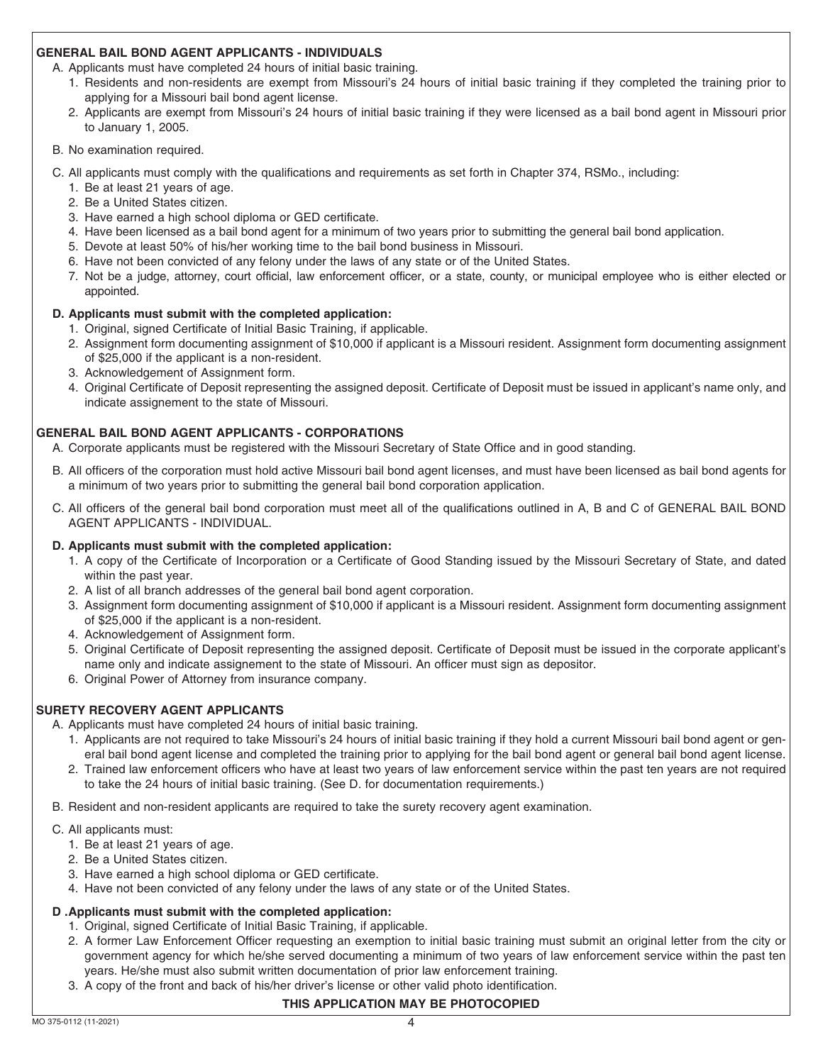## **GENERAL BAIL BOND AGENT APPLICANTS - INDIVIDUALS**

A. Applicants must have completed 24 hours of initial basic training.

- 1. Residents and non-residents are exempt from Missouri's 24 hours of initial basic training if they completed the training prior to applying for a Missouri bail bond agent license.
- 2. Applicants are exempt from Missouri's 24 hours of initial basic training if they were licensed as a bail bond agent in Missouri prior to January 1, 2005.

#### B. No examination required.

- C. All applicants must comply with the qualifications and requirements as set forth in Chapter 374, RSMo., including:
	- 1. Be at least 21 years of age.
	- 2. Be a United States citizen.
	- 3. Have earned a high school diploma or GED certificate.
	- 4. Have been licensed as a bail bond agent for a minimum of two years prior to submitting the general bail bond application.
	- 5. Devote at least 50% of his/her working time to the bail bond business in Missouri.
	- 6. Have not been convicted of any felony under the laws of any state or of the United States.
	- 7. Not be a judge, attorney, court official, law enforcement officer, or a state, county, or municipal employee who is either elected or appointed.

## **D. Applicants must submit with the completed application:**

- 1. Original, signed Certificate of Initial Basic Training, if applicable.
- 2. Assignment form documenting assignment of \$10,000 if applicant is a Missouri resident. Assignment form documenting assignment of \$25,000 if the applicant is a non-resident.
- 3. Acknowledgement of Assignment form.
- 4. Original Certificate of Deposit representing the assigned deposit. Certificate of Deposit must be issued in applicant's name only, and indicate assignement to the state of Missouri.

## **GENERAL BAIL BOND AGENT APPLICANTS - CORPORATIONS**

A. Corporate applicants must be registered with the Missouri Secretary of State Office and in good standing.

- B. All officers of the corporation must hold active Missouri bail bond agent licenses, and must have been licensed as bail bond agents for a minimum of two years prior to submitting the general bail bond corporation application.
- C. All officers of the general bail bond corporation must meet all of the qualifications outlined in A, B and C of GENERAL BAIL BOND AGENT APPLICANTS - INDIVIDUAL.

#### **D. Applicants must submit with the completed application:**

- 1. A copy of the Certificate of Incorporation or a Certificate of Good Standing issued by the Missouri Secretary of State, and dated within the past year.
- 2. A list of all branch addresses of the general bail bond agent corporation.
- 3. Assignment form documenting assignment of \$10,000 if applicant is a Missouri resident. Assignment form documenting assignment of \$25,000 if the applicant is a non-resident.
- 4. Acknowledgement of Assignment form.
- 5. Original Certificate of Deposit representing the assigned deposit. Certificate of Deposit must be issued in the corporate applicant's name only and indicate assignement to the state of Missouri. An officer must sign as depositor.
- 6. Original Power of Attorney from insurance company.

# **SURETY RECOVERY AGENT APPLICANTS**

A. Applicants must have completed 24 hours of initial basic training.

- 1. Applicants are not required to take Missouri's 24 hours of initial basic training if they hold a current Missouri bail bond agent or general bail bond agent license and completed the training prior to applying for the bail bond agent or general bail bond agent license.
- 2. Trained law enforcement officers who have at least two years of law enforcement service within the past ten years are not required to take the 24 hours of initial basic training. (See D. for documentation requirements.)
- B. Resident and non-resident applicants are required to take the surety recovery agent examination.
- C. All applicants must:
	- 1. Be at least 21 years of age.
	- 2. Be a United States citizen.
	- 3. Have earned a high school diploma or GED certificate.
	- 4. Have not been convicted of any felony under the laws of any state or of the United States.

# **D . Applicants must submit with the completed application:**

- 1. Original, signed Certificate of Initial Basic Training, if applicable.
- 2. A former Law Enforcement Officer requesting an exemption to initial basic training must submit an original letter from the city or government agency for which he/she served documenting a minimum of two years of law enforcement service within the past ten years. He/she must also submit written documentation of prior law enforcement training.
- 3. A copy of the front and back of his/her driver's license or other valid photo identification.

# **THIS APPLICATION MAY BE PHOTOCOPIED**